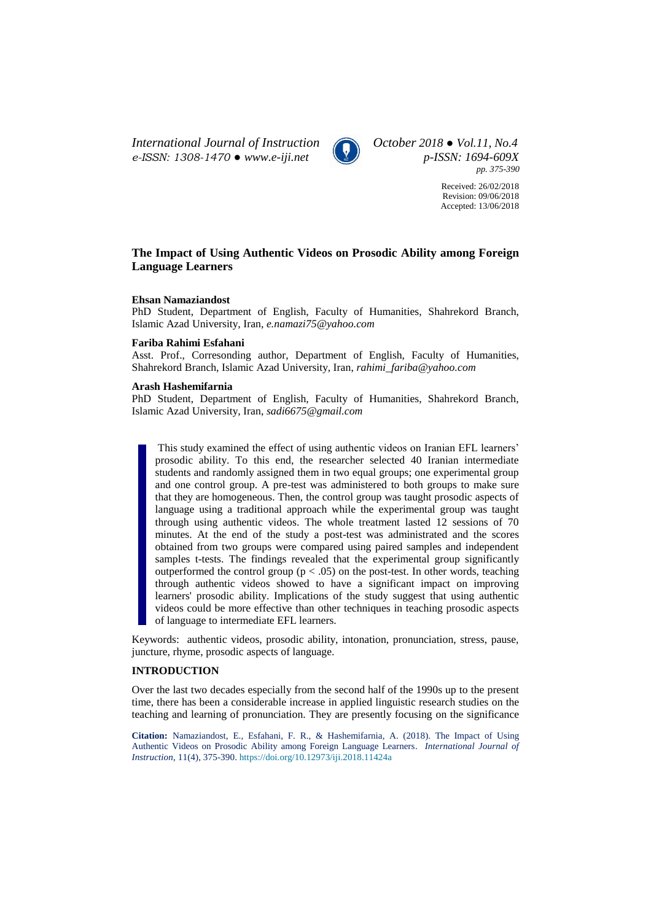*International Journal of Instruction October 2018 ● Vol.11, No.4 e-ISSN: 1308-1470 ● [www.e-iji.net](http://www.e-iji.net/) p-ISSN: 1694-609X*



*pp. 375-390*

Received: 26/02/2018 Revision: 09/06/2018 Accepted: 13/06/2018

# **The Impact of Using Authentic Videos on Prosodic Ability among Foreign Language Learners**

#### **Ehsan Namaziandost**

PhD Student, Department of English, Faculty of Humanities, Shahrekord Branch, Islamic Azad University, Iran, *[e.namazi75@yahoo.com](mailto:e.namazi75@yahoo.com)*

### **Fariba Rahimi Esfahani**

Asst. Prof., Corresonding author, Department of English, Faculty of Humanities, Shahrekord Branch, Islamic Azad University, Iran, *[rahimi\\_fariba@yahoo.com](mailto:Rahimi_fariba@yahoo.com)*

#### **Arash Hashemifarnia**

PhD Student, Department of English, Faculty of Humanities, Shahrekord Branch, Islamic Azad University, Iran, *sadi6675@gmail.com*

This study examined the effect of using authentic videos on Iranian EFL learners' prosodic ability. To this end, the researcher selected 40 Iranian intermediate students and randomly assigned them in two equal groups; one experimental group and one control group. A pre-test was administered to both groups to make sure that they are homogeneous. Then, the control group was taught prosodic aspects of language using a traditional approach while the experimental group was taught through using authentic videos. The whole treatment lasted 12 sessions of 70 minutes. At the end of the study a post-test was administrated and the scores obtained from two groups were compared using paired samples and independent samples t-tests. The findings revealed that the experimental group significantly outperformed the control group ( $p < .05$ ) on the post-test. In other words, teaching through authentic videos showed to have a significant impact on improving learners' prosodic ability. Implications of the study suggest that using authentic videos could be more effective than other techniques in teaching prosodic aspects of language to intermediate EFL learners.

Keywords: authentic videos, prosodic ability, intonation, pronunciation, stress, pause, juncture, rhyme, prosodic aspects of language.

## **INTRODUCTION**

Over the last two decades especially from the second half of the 1990s up to the present time, there has been a considerable increase in applied linguistic research studies on the teaching and learning of pronunciation. They are presently focusing on the significance

**Citation:** Namaziandost, E., Esfahani, F. R., & Hashemifarnia, A. (2018). The Impact of Using Authentic Videos on Prosodic Ability among Foreign Language Learners. *International Journal of Instruction*, 11(4), 375-390. <https://doi.org/10.12973/iji.2018.11424a>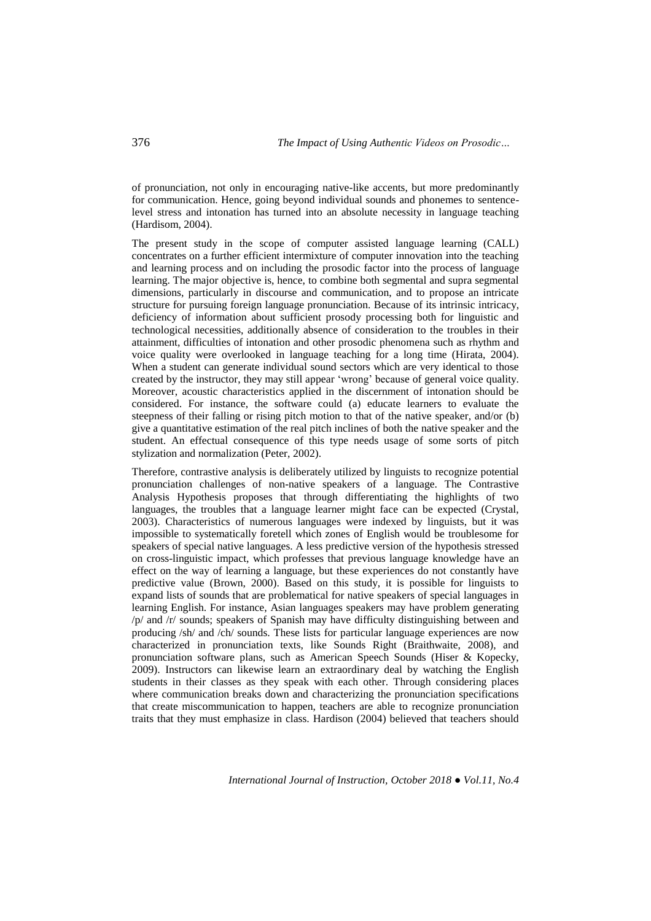of pronunciation, not only in encouraging native-like accents, but more predominantly for communication. Hence, going beyond individual sounds and phonemes to sentencelevel stress and intonation has turned into an absolute necessity in language teaching (Hardisom, 2004).

The present study in the scope of computer assisted language learning (CALL) concentrates on a further efficient intermixture of computer innovation into the teaching and learning process and on including the prosodic factor into the process of language learning. The major objective is, hence, to combine both segmental and supra segmental dimensions, particularly in discourse and communication, and to propose an intricate structure for pursuing foreign language pronunciation. Because of its intrinsic intricacy, deficiency of information about sufficient prosody processing both for linguistic and technological necessities, additionally absence of consideration to the troubles in their attainment, difficulties of intonation and other prosodic phenomena such as rhythm and voice quality were overlooked in language teaching for a long time (Hirata, 2004). When a student can generate individual sound sectors which are very identical to those created by the instructor, they may still appear 'wrong' because of general voice quality. Moreover, acoustic characteristics applied in the discernment of intonation should be considered. For instance, the software could (a) educate learners to evaluate the steepness of their falling or rising pitch motion to that of the native speaker, and/or (b) give a quantitative estimation of the real pitch inclines of both the native speaker and the student. An effectual consequence of this type needs usage of some sorts of pitch stylization and normalization (Peter, 2002).

Therefore, contrastive analysis is deliberately utilized by linguists to recognize potential pronunciation challenges of non-native speakers of a language. The Contrastive Analysis Hypothesis proposes that through differentiating the highlights of two languages, the troubles that a language learner might face can be expected (Crystal, 2003). Characteristics of numerous languages were indexed by linguists, but it was impossible to systematically foretell which zones of English would be troublesome for speakers of special native languages. A less predictive version of the hypothesis stressed on cross-linguistic impact, which professes that previous language knowledge have an effect on the way of learning a language, but these experiences do not constantly have predictive value (Brown, 2000). Based on this study, it is possible for linguists to expand lists of sounds that are problematical for native speakers of special languages in learning English. For instance, Asian languages speakers may have problem generating /p/ and /r/ sounds; speakers of Spanish may have difficulty distinguishing between and producing /sh/ and /ch/ sounds. These lists for particular language experiences are now characterized in pronunciation texts, like Sounds Right (Braithwaite, 2008), and pronunciation software plans, such as American Speech Sounds (Hiser & Kopecky, 2009). Instructors can likewise learn an extraordinary deal by watching the English students in their classes as they speak with each other. Through considering places where communication breaks down and characterizing the pronunciation specifications that create miscommunication to happen, teachers are able to recognize pronunciation traits that they must emphasize in class. Hardison (2004) believed that teachers should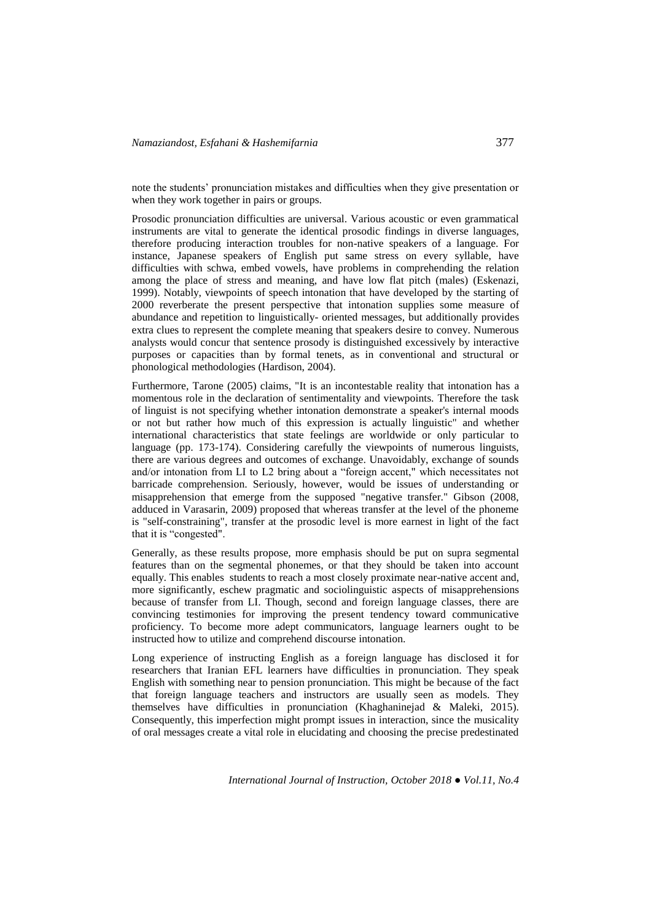note the students' pronunciation mistakes and difficulties when they give presentation or when they work together in pairs or groups.

Prosodic pronunciation difficulties are universal. Various acoustic or even grammatical instruments are vital to generate the identical prosodic findings in diverse languages, therefore producing interaction troubles for non-native speakers of a language. For instance, Japanese speakers of English put same stress on every syllable, have difficulties with schwa, embed vowels, have problems in comprehending the relation among the place of stress and meaning, and have low flat pitch (males) (Eskenazi, 1999). Notably, viewpoints of speech intonation that have developed by the starting of 2000 reverberate the present perspective that intonation supplies some measure of abundance and repetition to linguistically- oriented messages, but additionally provides extra clues to represent the complete meaning that speakers desire to convey. Numerous analysts would concur that sentence prosody is distinguished excessively by interactive purposes or capacities than by formal tenets, as in conventional and structural or phonological methodologies (Hardison, 2004).

Furthermore, Tarone (2005) claims, "It is an incontestable reality that intonation has a momentous role in the declaration of sentimentality and viewpoints. Therefore the task of linguist is not specifying whether intonation demonstrate a speaker's internal moods or not but rather how much of this expression is actually linguistic" and whether international characteristics that state feelings are worldwide or only particular to language (pp. 173-174). Considering carefully the viewpoints of numerous linguists, there are various degrees and outcomes of exchange. Unavoidably, exchange of sounds and/or intonation from LI to L2 bring about a "foreign accent," which necessitates not barricade comprehension. Seriously, however, would be issues of understanding or misapprehension that emerge from the supposed "negative transfer." Gibson (2008, adduced in Varasarin, 2009) proposed that whereas transfer at the level of the phoneme is "self-constraining", transfer at the prosodic level is more earnest in light of the fact that it is "congested".

Generally, as these results propose, more emphasis should be put on supra segmental features than on the segmental phonemes, or that they should be taken into account equally. This enables students to reach a most closely proximate near-native accent and, more significantly, eschew pragmatic and sociolinguistic aspects of misapprehensions because of transfer from LI. Though, second and foreign language classes, there are convincing testimonies for improving the present tendency toward communicative proficiency. To become more adept communicators, language learners ought to be instructed how to utilize and comprehend discourse intonation.

Long experience of instructing English as a foreign language has disclosed it for researchers that Iranian EFL learners have difficulties in pronunciation. They speak English with something near to pension pronunciation. This might be because of the fact that foreign language teachers and instructors are usually seen as models. They themselves have difficulties in pronunciation (Khaghaninejad & Maleki, 2015). Consequently, this imperfection might prompt issues in interaction, since the musicality of oral messages create a vital role in elucidating and choosing the precise predestinated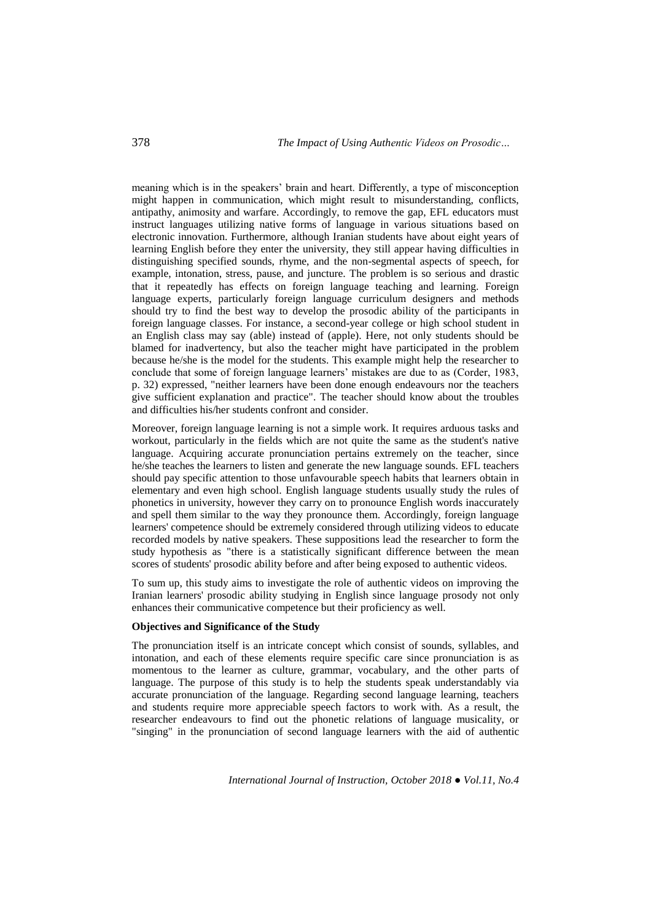meaning which is in the speakers' brain and heart. Differently, a type of misconception might happen in communication, which might result to misunderstanding, conflicts, antipathy, animosity and warfare. Accordingly, to remove the gap, EFL educators must instruct languages utilizing native forms of language in various situations based on electronic innovation. Furthermore, although Iranian students have about eight years of learning English before they enter the university, they still appear having difficulties in distinguishing specified sounds, rhyme, and the non-segmental aspects of speech, for example, intonation, stress, pause, and juncture. The problem is so serious and drastic that it repeatedly has effects on foreign language teaching and learning. Foreign language experts, particularly foreign language curriculum designers and methods should try to find the best way to develop the prosodic ability of the participants in foreign language classes. For instance, a second-year college or high school student in an English class may say (able) instead of (apple). Here, not only students should be blamed for inadvertency, but also the teacher might have participated in the problem because he/she is the model for the students. This example might help the researcher to conclude that some of foreign language learners' mistakes are due to as (Corder, 1983, p. 32) expressed, "neither learners have been done enough endeavours nor the teachers give sufficient explanation and practice". The teacher should know about the troubles and difficulties his/her students confront and consider.

Moreover, foreign language learning is not a simple work. It requires arduous tasks and workout, particularly in the fields which are not quite the same as the student's native language. Acquiring accurate pronunciation pertains extremely on the teacher, since he/she teaches the learners to listen and generate the new language sounds. EFL teachers should pay specific attention to those unfavourable speech habits that learners obtain in elementary and even high school. English language students usually study the rules of phonetics in university, however they carry on to pronounce English words inaccurately and spell them similar to the way they pronounce them. Accordingly, foreign language learners' competence should be extremely considered through utilizing videos to educate recorded models by native speakers. These suppositions lead the researcher to form the study hypothesis as "there is a statistically significant difference between the mean scores of students' prosodic ability before and after being exposed to authentic videos.

To sum up, this study aims to investigate the role of authentic videos on improving the Iranian learners' prosodic ability studying in English since language prosody not only enhances their communicative competence but their proficiency as well.

# **Objectives and Significance of the Study**

The pronunciation itself is an intricate concept which consist of sounds, syllables, and intonation, and each of these elements require specific care since pronunciation is as momentous to the learner as culture, grammar, vocabulary, and the other parts of language. The purpose of this study is to help the students speak understandably via accurate pronunciation of the language. Regarding second language learning, teachers and students require more appreciable speech factors to work with. As a result, the researcher endeavours to find out the phonetic relations of language musicality, or "singing" in the pronunciation of second language learners with the aid of authentic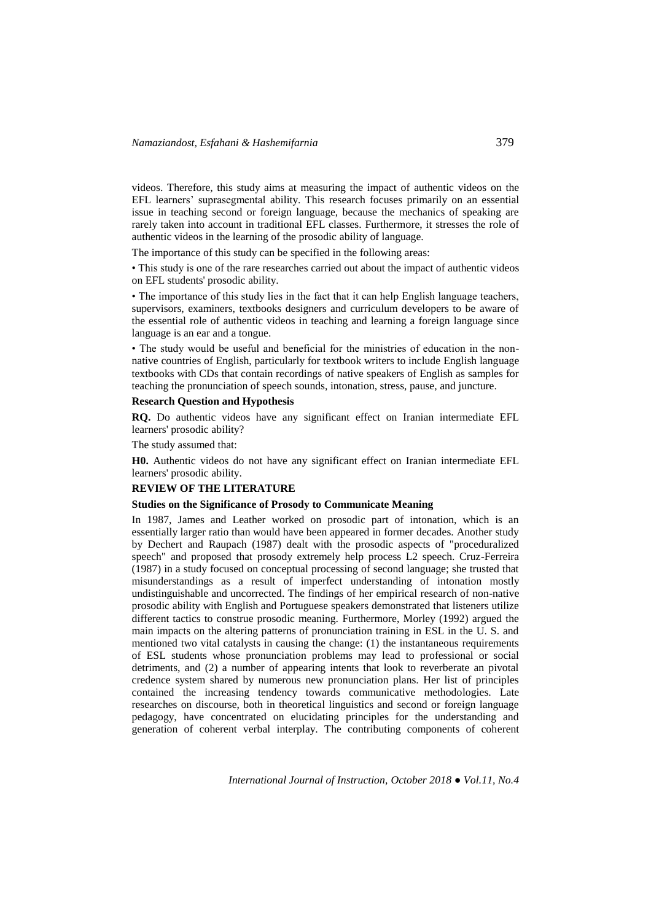videos. Therefore, this study aims at measuring the impact of authentic videos on the EFL learners' suprasegmental ability. This research focuses primarily on an essential issue in teaching second or foreign language, because the mechanics of speaking are rarely taken into account in traditional EFL classes. Furthermore, it stresses the role of authentic videos in the learning of the prosodic ability of language.

The importance of this study can be specified in the following areas:

• This study is one of the rare researches carried out about the impact of authentic videos on EFL students' prosodic ability.

• The importance of this study lies in the fact that it can help English language teachers, supervisors, examiners, textbooks designers and curriculum developers to be aware of the essential role of authentic videos in teaching and learning a foreign language since language is an ear and a tongue.

• The study would be useful and beneficial for the ministries of education in the nonnative countries of English, particularly for textbook writers to include English language textbooks with CDs that contain recordings of native speakers of English as samples for teaching the pronunciation of speech sounds, intonation, stress, pause, and juncture.

# **Research Question and Hypothesis**

**RQ.** Do authentic videos have any significant effect on Iranian intermediate EFL learners' prosodic ability?

The study assumed that:

**H0.** Authentic videos do not have any significant effect on Iranian intermediate EFL learners' prosodic ability.

## **REVIEW OF THE LITERATURE**

# **Studies on the Significance of Prosody to Communicate Meaning**

In 1987, James and Leather worked on prosodic part of intonation, which is an essentially larger ratio than would have been appeared in former decades. Another study by Dechert and Raupach (1987) dealt with the prosodic aspects of "proceduralized speech" and proposed that prosody extremely help process L2 speech. Cruz-Ferreira (1987) in a study focused on conceptual processing of second language; she trusted that misunderstandings as a result of imperfect understanding of intonation mostly undistinguishable and uncorrected. The findings of her empirical research of non-native prosodic ability with English and Portuguese speakers demonstrated that listeners utilize different tactics to construe prosodic meaning. Furthermore, Morley (1992) argued the main impacts on the altering patterns of pronunciation training in ESL in the U. S. and mentioned two vital catalysts in causing the change: (1) the instantaneous requirements of ESL students whose pronunciation problems may lead to professional or social detriments, and (2) a number of appearing intents that look to reverberate an pivotal credence system shared by numerous new pronunciation plans. Her list of principles contained the increasing tendency towards communicative methodologies. Late researches on discourse, both in theoretical linguistics and second or foreign language pedagogy, have concentrated on elucidating principles for the understanding and generation of coherent verbal interplay. The contributing components of coherent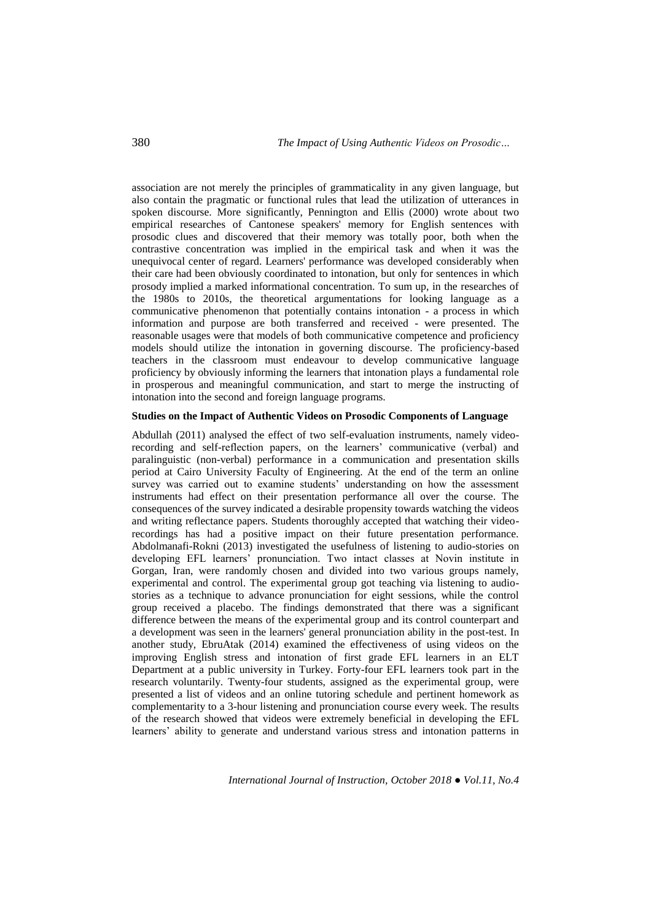association are not merely the principles of grammaticality in any given language, but also contain the pragmatic or functional rules that lead the utilization of utterances in spoken discourse. More significantly, Pennington and Ellis (2000) wrote about two empirical researches of Cantonese speakers' memory for English sentences with prosodic clues and discovered that their memory was totally poor, both when the contrastive concentration was implied in the empirical task and when it was the unequivocal center of regard. Learners' performance was developed considerably when their care had been obviously coordinated to intonation, but only for sentences in which prosody implied a marked informational concentration. To sum up, in the researches of the 1980s to 2010s, the theoretical argumentations for looking language as a communicative phenomenon that potentially contains intonation - a process in which information and purpose are both transferred and received - were presented. The reasonable usages were that models of both communicative competence and proficiency models should utilize the intonation in governing discourse. The proficiency-based teachers in the classroom must endeavour to develop communicative language proficiency by obviously informing the learners that intonation plays a fundamental role in prosperous and meaningful communication, and start to merge the instructing of intonation into the second and foreign language programs.

#### **Studies on the Impact of Authentic Videos on Prosodic Components of Language**

Abdullah (2011) analysed the effect of two self-evaluation instruments, namely videorecording and self-reflection papers, on the learners' communicative (verbal) and paralinguistic (non-verbal) performance in a communication and presentation skills period at Cairo University Faculty of Engineering. At the end of the term an online survey was carried out to examine students' understanding on how the assessment instruments had effect on their presentation performance all over the course. The consequences of the survey indicated a desirable propensity towards watching the videos and writing reflectance papers. Students thoroughly accepted that watching their videorecordings has had a positive impact on their future presentation performance. Abdolmanafi-Rokni (2013) investigated the usefulness of listening to audio-stories on developing EFL learners' pronunciation. Two intact classes at Novin institute in Gorgan, Iran, were randomly chosen and divided into two various groups namely, experimental and control. The experimental group got teaching via listening to audiostories as a technique to advance pronunciation for eight sessions, while the control group received a placebo. The findings demonstrated that there was a significant difference between the means of the experimental group and its control counterpart and a development was seen in the learners' general pronunciation ability in the post-test. In another study, EbruAtak (2014) examined the effectiveness of using videos on the improving English stress and intonation of first grade EFL learners in an ELT Department at a public university in Turkey. Forty-four EFL learners took part in the research voluntarily. Twenty-four students, assigned as the experimental group, were presented a list of videos and an online tutoring schedule and pertinent homework as complementarity to a 3-hour listening and pronunciation course every week. The results of the research showed that videos were extremely beneficial in developing the EFL learners' ability to generate and understand various stress and intonation patterns in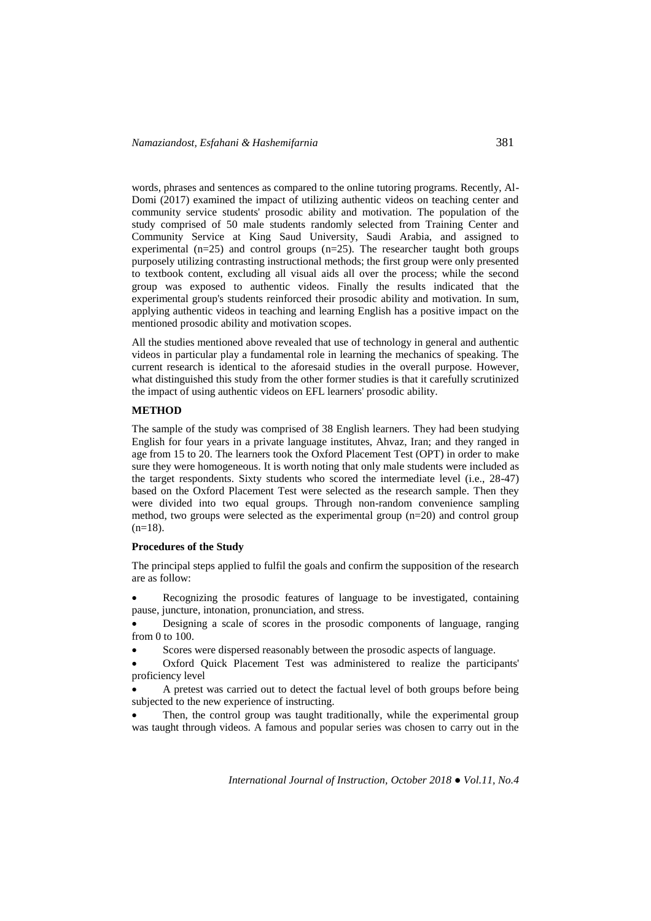words, phrases and sentences as compared to the online tutoring programs. Recently, Al-Domi (2017) examined the impact of utilizing authentic videos on teaching center and community service students' prosodic ability and motivation. The population of the study comprised of 50 male students randomly selected from Training Center and Community Service at King Saud University, Saudi Arabia, and assigned to experimental (n=25) and control groups (n=25). The researcher taught both groups purposely utilizing contrasting instructional methods; the first group were only presented to textbook content, excluding all visual aids all over the process; while the second group was exposed to authentic videos. Finally the results indicated that the experimental group's students reinforced their prosodic ability and motivation. In sum, applying authentic videos in teaching and learning English has a positive impact on the mentioned prosodic ability and motivation scopes.

All the studies mentioned above revealed that use of technology in general and authentic videos in particular play a fundamental role in learning the mechanics of speaking. The current research is identical to the aforesaid studies in the overall purpose. However, what distinguished this study from the other former studies is that it carefully scrutinized the impact of using authentic videos on EFL learners' prosodic ability.

### **METHOD**

The sample of the study was comprised of 38 English learners. They had been studying English for four years in a private language institutes, Ahvaz, Iran; and they ranged in age from 15 to 20. The learners took the Oxford Placement Test (OPT) in order to make sure they were homogeneous. It is worth noting that only male students were included as the target respondents. Sixty students who scored the intermediate level (i.e., 28-47) based on the Oxford Placement Test were selected as the research sample. Then they were divided into two equal groups. Through non-random convenience sampling method, two groups were selected as the experimental group  $(n=20)$  and control group  $(n=18)$ .

## **Procedures of the Study**

The principal steps applied to fulfil the goals and confirm the supposition of the research are as follow:

 Recognizing the prosodic features of language to be investigated, containing pause, juncture, intonation, pronunciation, and stress.

 Designing a scale of scores in the prosodic components of language, ranging from 0 to 100.

Scores were dispersed reasonably between the prosodic aspects of language.

 Oxford Quick Placement Test was administered to realize the participants' proficiency level

 A pretest was carried out to detect the factual level of both groups before being subjected to the new experience of instructing.

 Then, the control group was taught traditionally, while the experimental group was taught through videos. A famous and popular series was chosen to carry out in the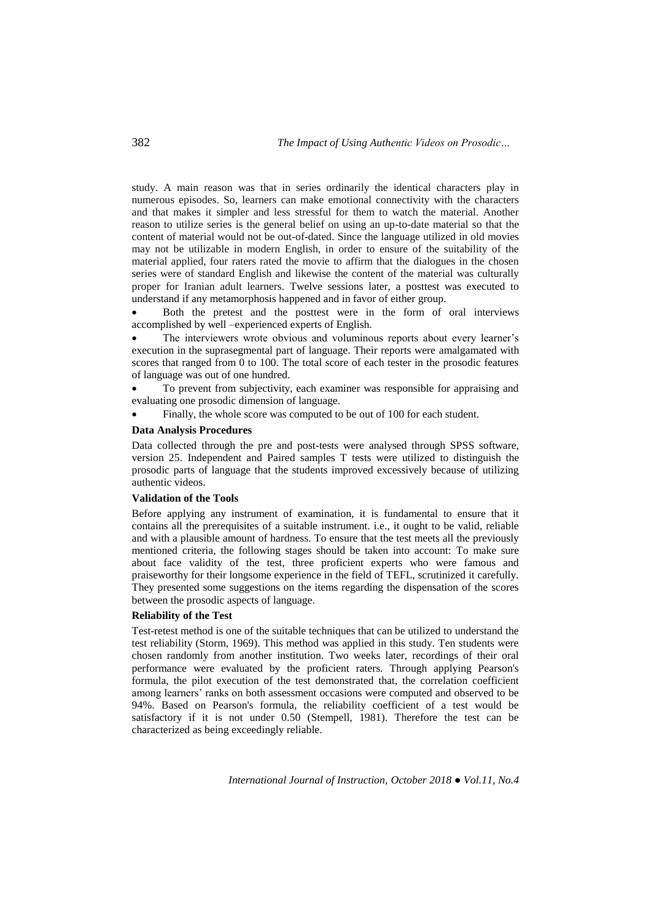study. A main reason was that in series ordinarily the identical characters play in numerous episodes. So, learners can make emotional connectivity with the characters and that makes it simpler and less stressful for them to watch the material. Another reason to utilize series is the general belief on using an up-to-date material so that the content of material would not be out-of-dated. Since the language utilized in old movies may not be utilizable in modern English, in order to ensure of the suitability of the material applied, four raters rated the movie to affirm that the dialogues in the chosen series were of standard English and likewise the content of the material was culturally proper for Iranian adult learners. Twelve sessions later, a posttest was executed to understand if any metamorphosis happened and in favor of either group.

 Both the pretest and the posttest were in the form of oral interviews accomplished by well –experienced experts of English.

 The interviewers wrote obvious and voluminous reports about every learner's execution in the suprasegmental part of language. Their reports were amalgamated with scores that ranged from 0 to 100. The total score of each tester in the prosodic features of language was out of one hundred.

 To prevent from subjectivity, each examiner was responsible for appraising and evaluating one prosodic dimension of language.

Finally, the whole score was computed to be out of 100 for each student.

## **Data Analysis Procedures**

Data collected through the pre and post-tests were analysed through SPSS software, version 25. Independent and Paired samples T tests were utilized to distinguish the prosodic parts of language that the students improved excessively because of utilizing authentic videos.

# **Validation of the Tools**

Before applying any instrument of examination, it is fundamental to ensure that it contains all the prerequisites of a suitable instrument. i.e., it ought to be valid, reliable and with a plausible amount of hardness. To ensure that the test meets all the previously mentioned criteria, the following stages should be taken into account: To make sure about face validity of the test, three proficient experts who were famous and praiseworthy for their longsome experience in the field of TEFL, scrutinized it carefully. They presented some suggestions on the items regarding the dispensation of the scores between the prosodic aspects of language.

## **Reliability of the Test**

Test-retest method is one of the suitable techniques that can be utilized to understand the test reliability (Storm, 1969). This method was applied in this study. Ten students were chosen randomly from another institution. Two weeks later, recordings of their oral performance were evaluated by the proficient raters. Through applying Pearson's formula, the pilot execution of the test demonstrated that, the correlation coefficient among learners' ranks on both assessment occasions were computed and observed to be 94%. Based on Pearson's formula, the reliability coefficient of a test would be satisfactory if it is not under 0.50 (Stempell, 1981). Therefore the test can be characterized as being exceedingly reliable.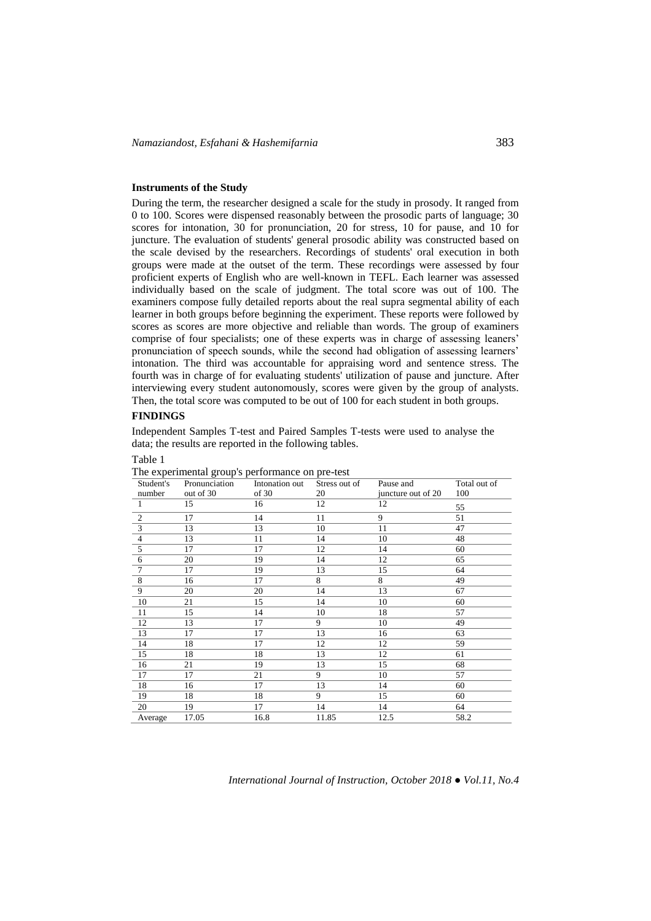## **Instruments of the Study**

During the term, the researcher designed a scale for the study in prosody. It ranged from 0 to 100. Scores were dispensed reasonably between the prosodic parts of language; 30 scores for intonation, 30 for pronunciation, 20 for stress, 10 for pause, and 10 for juncture. The evaluation of students' general prosodic ability was constructed based on the scale devised by the researchers. Recordings of students' oral execution in both groups were made at the outset of the term. These recordings were assessed by four proficient experts of English who are well-known in TEFL. Each learner was assessed individually based on the scale of judgment. The total score was out of 100. The examiners compose fully detailed reports about the real supra segmental ability of each learner in both groups before beginning the experiment. These reports were followed by scores as scores are more objective and reliable than words. The group of examiners comprise of four specialists; one of these experts was in charge of assessing leaners' pronunciation of speech sounds, while the second had obligation of assessing learners' intonation. The third was accountable for appraising word and sentence stress. The fourth was in charge of for evaluating students' utilization of pause and juncture. After interviewing every student autonomously, scores were given by the group of analysts. Then, the total score was computed to be out of 100 for each student in both groups.

#### **FINDINGS**

Independent Samples T-test and Paired Samples T-tests were used to analyse the data; the results are reported in the following tables.

| abie |  |
|------|--|
|------|--|

|                 | Student's Pronunciation |       |       | Intonation out Stress out of Pause and | Total out of |
|-----------------|-------------------------|-------|-------|----------------------------------------|--------------|
| number          | out of 30               | of 30 | 20    | juncture out of $20 \t 100$            |              |
| -1              | 15                      | 16    | 12    | 12                                     | 55           |
| 2               | 17                      | 14    | 11    | 9                                      | 51           |
| $\mathbf{3}$    | 13                      | 13    | 10    | 11                                     | 47           |
| $\overline{4}$  | 13                      | 11    | 14    | 10                                     | 48           |
| 5               | 17                      | 17    | 12    | 14                                     | 60           |
| 6               | 20                      | 19    | 14    | 12                                     | 65           |
| $7\phantom{.0}$ | 17                      | 19    | 13    | 15                                     | 64           |
| 8               | 16                      | 17    | 8     | 8                                      | 49           |
| 9               | 20                      | 20    | 14    | 13                                     | 67           |
| 10              | 21                      | 15    | 14    | 10                                     | 60           |
| 11              | 15                      | 14    | 10    | 18                                     | 57           |
| 12              | 13                      | 17    | 9     | 10                                     | 49           |
| 13              | 17                      | 17    | 13    | 16                                     | 63           |
| 14              | 18                      | 17    | 12    | 12                                     | 59           |
| 15              | 18                      | 18    | 13    | 12                                     | 61           |
| 16              | 21                      | 19    | 13    | 15                                     | 68           |
| 17              | 17                      | 21    | 9     | 10                                     | 57           |
| 18              | 16                      | 17    | 13    | 14                                     | 60           |
| 19              | 18                      | 18    | 9     | 15                                     | 60           |
| 20              | 19                      | 17    | 14    | 14                                     | 64           |
| Average         | 17.05                   | 16.8  | 11.85 | 12.5                                   | 58.2         |

| The experimental group's performance on pre-test |  |  |
|--------------------------------------------------|--|--|
|                                                  |  |  |
|                                                  |  |  |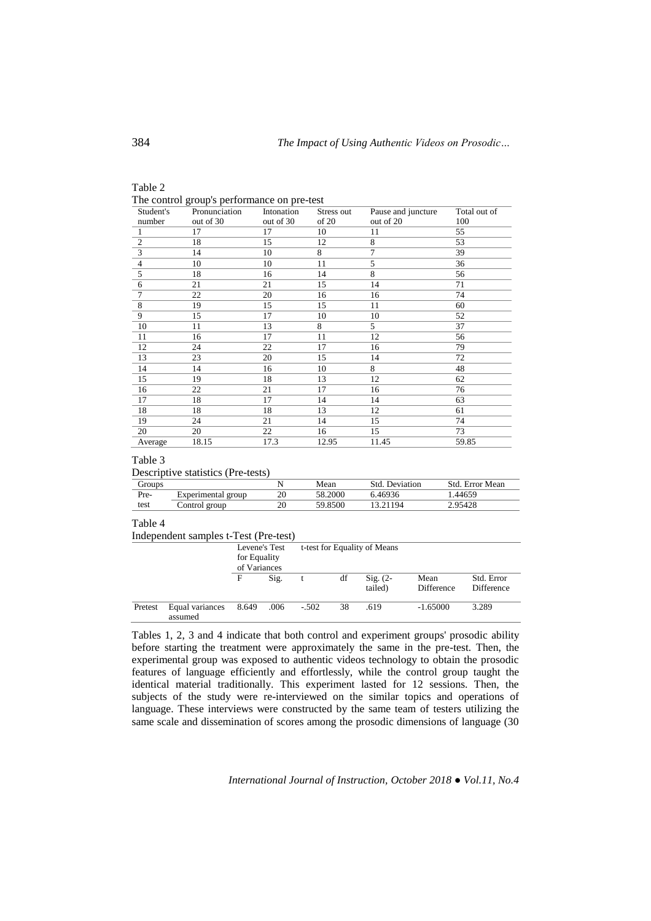| Student's<br>number | Pronunciation<br>out of 30 | Intonation<br>out of 30 | Stress out<br>of 20 | Pause and juncture<br>out of 20 | Total out of<br>100 |
|---------------------|----------------------------|-------------------------|---------------------|---------------------------------|---------------------|
| 1                   | 17                         | 17                      | 10                  | 11                              | 55                  |
| $\overline{2}$      | 18                         | 15                      | 12                  | 8                               | 53                  |
| $\overline{3}$      | 14                         | 10                      | 8                   | 7                               | 39                  |
| $\overline{4}$      | 10                         | 10                      | 11                  | 5                               | 36                  |
| $\overline{5}$      | 18                         | 16                      | 14                  | 8                               | 56                  |
| 6                   | 21                         | 21                      | 15                  | 14                              | 71                  |
| $\overline{7}$      | 22                         | 20                      | 16                  | 16                              | 74                  |
| 8                   | 19                         | 15                      | 15                  | 11                              | 60                  |
| 9                   | 15                         | 17                      | 10                  | 10                              | 52                  |
| 10                  | 11                         | 13                      | 8                   | 5                               | 37                  |
| 11                  | 16                         | 17                      | 11                  | 12                              | 56                  |
| 12                  | 24                         | 22                      | 17                  | 16                              | 79                  |
| 13                  | 23                         | 20                      | 15                  | 14                              | 72                  |
| 14                  | 14                         | 16                      | 10                  | 8                               | 48                  |
| 15                  | 19                         | 18                      | 13                  | 12                              | 62                  |
| 16                  | 22                         | 21                      | 17                  | 16                              | 76                  |
| 17                  | 18                         | 17                      | 14                  | 14                              | 63                  |
| 18                  | 18                         | 18                      | 13                  | 12                              | 61                  |
| 19                  | 24                         | 21                      | 14                  | 15                              | 74                  |
| 20                  | 20                         | 22                      | 16                  | 15                              | 73                  |
| Average             | 18.15                      | 17.3                    | 12.95               | 11.45                           | 59.85               |

| Table 2                                     |  |  |
|---------------------------------------------|--|--|
| The control group's performance on pre-test |  |  |

#### Table 3

Descriptive statistics (Pre-tests)

| Groups |                    |    | Mean    | Std.<br>Deviation | Std. Error Mean |
|--------|--------------------|----|---------|-------------------|-----------------|
| Pre-   | Experimental group | 20 | 58.2000 | 6.46936           | .44659          |
| test   | Control group      | 20 | 59.8500 | 194               | 2.95428         |

#### Table 4 Independent samples t-Test (Pre-test)

| macponacht samples t'rest (1 ic test) |                                               |       |      |         |    |                              |                    |                          |
|---------------------------------------|-----------------------------------------------|-------|------|---------|----|------------------------------|--------------------|--------------------------|
|                                       | Levene's Test<br>for Equality<br>of Variances |       |      |         |    | t-test for Equality of Means |                    |                          |
|                                       |                                               | F     | Sig. |         | df | $Sig. (2-$<br>tailed)        | Mean<br>Difference | Std. Error<br>Difference |
| Pretest                               | Equal variances<br>assumed                    | 8.649 | .006 | $-.502$ | 38 | .619                         | $-1.65000$         | 3.289                    |

Tables 1, 2, 3 and 4 indicate that both control and experiment groups' prosodic ability before starting the treatment were approximately the same in the pre-test. Then, the experimental group was exposed to authentic videos technology to obtain the prosodic features of language efficiently and effortlessly, while the control group taught the identical material traditionally. This experiment lasted for 12 sessions. Then, the subjects of the study were re-interviewed on the similar topics and operations of language. These interviews were constructed by the same team of testers utilizing the same scale and dissemination of scores among the prosodic dimensions of language (30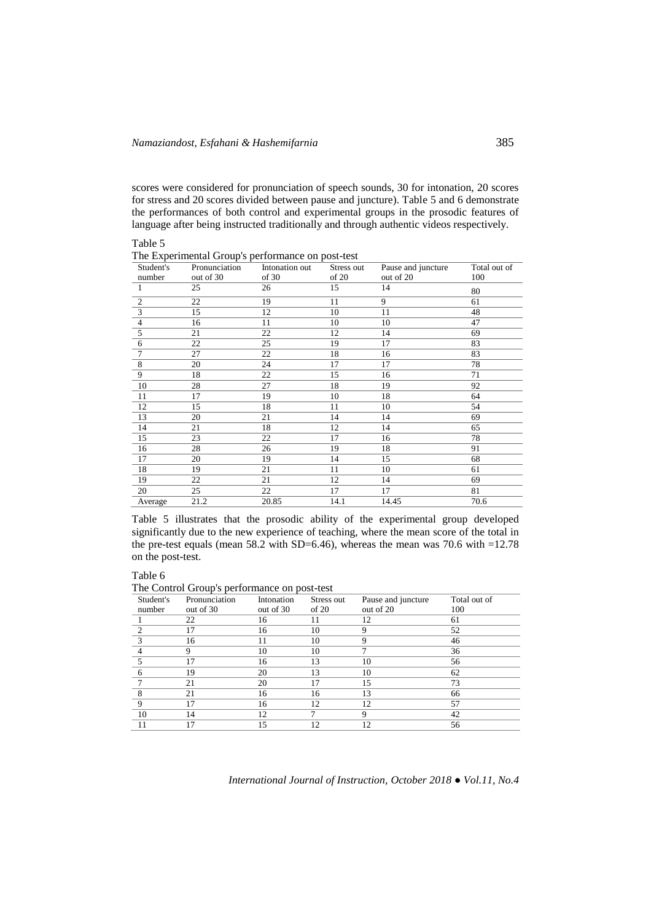scores were considered for pronunciation of speech sounds, 30 for intonation, 20 scores for stress and 20 scores divided between pause and juncture). Table 5 and 6 demonstrate the performances of both control and experimental groups in the prosodic features of language after being instructed traditionally and through authentic videos respectively.

| Student's       | Pronunciation | Intonation out | Stress out | Pause and juncture | Total out of |
|-----------------|---------------|----------------|------------|--------------------|--------------|
| number          | out of 30     | of 30          | of 20      | out of 20          | 100          |
| $\overline{1}$  | 25            | 26             | 15         | 14                 | 80           |
| $\overline{c}$  | 22            | 19             | 11         | 9                  | 61           |
| $\overline{3}$  | 15            | 12             | 10         | 11                 | 48           |
| $\overline{4}$  | 16            | 11             | 10         | 10                 | 47           |
| $\overline{5}$  | 21            | 22             | 12         | 14                 | 69           |
| $\overline{6}$  | 22            | 25             | 19         | 17                 | 83           |
| $7\phantom{.0}$ | 27            | 22             | 18         | 16                 | 83           |
| $\,8\,$         | 20            | 24             | 17         | 17                 | 78           |
| 9               | 18            | 22             | 15         | 16                 | 71           |
| 10              | 28            | 27             | 18         | 19                 | 92           |
| 11              | 17            | 19             | 10         | 18                 | 64           |
| 12              | 15            | 18             | 11         | 10                 | 54           |
| 13              | 20            | 21             | 14         | 14                 | 69           |
| 14              | 21            | 18             | 12         | 14                 | 65           |
| 15              | 23            | 22             | 17         | 16                 | 78           |
| 16              | 28            | 26             | 19         | 18                 | 91           |
| 17              | 20            | 19             | 14         | 15                 | 68           |
| 18              | 19            | 21             | 11         | 10                 | 61           |
| 19              | 22            | 21             | 12         | 14                 | 69           |
| 20              | 25            | 22             | 17         | 17                 | 81           |
| Average         | 21.2          | 20.85          | 14.1       | 14.45              | 70.6         |

The Experimental Group's performance on post-test

Table 5 illustrates that the prosodic ability of the experimental group developed significantly due to the new experience of teaching, where the mean score of the total in the pre-test equals (mean  $58.2$  with SD=6.46), whereas the mean was 70.6 with =12.78 on the post-test.

#### Table 6

Table 5

The Control Group's performance on post-test

| Student's | Pronunciation | Intonation | Stress out | Pause and juncture | Total out of |
|-----------|---------------|------------|------------|--------------------|--------------|
| number    | out of 30     | out of 30  | of 20      | out of 20          | 100          |
|           | 22            | 16         | 11         | 12                 | 61           |
|           | 17            | 16         | 10         | о                  | 52           |
|           | 16            |            | 10         | Q                  | 46           |
|           |               | 10         | 10         | ⇁                  | 36           |
|           | 17            | 16         | 13         | 10                 | 56           |
|           | 19            | 20         | 13         | 10                 | 62           |
|           | 21            | 20         | 17         | 15                 | 73           |
|           | 21            | 16         | 16         | 13                 | 66           |
| 9         | 17            | 16         | 12         | 12                 | 57           |
| 10        | 14            | 12         |            | Q                  | 42           |
|           | 17            | 15         | 12         | 12                 | 56           |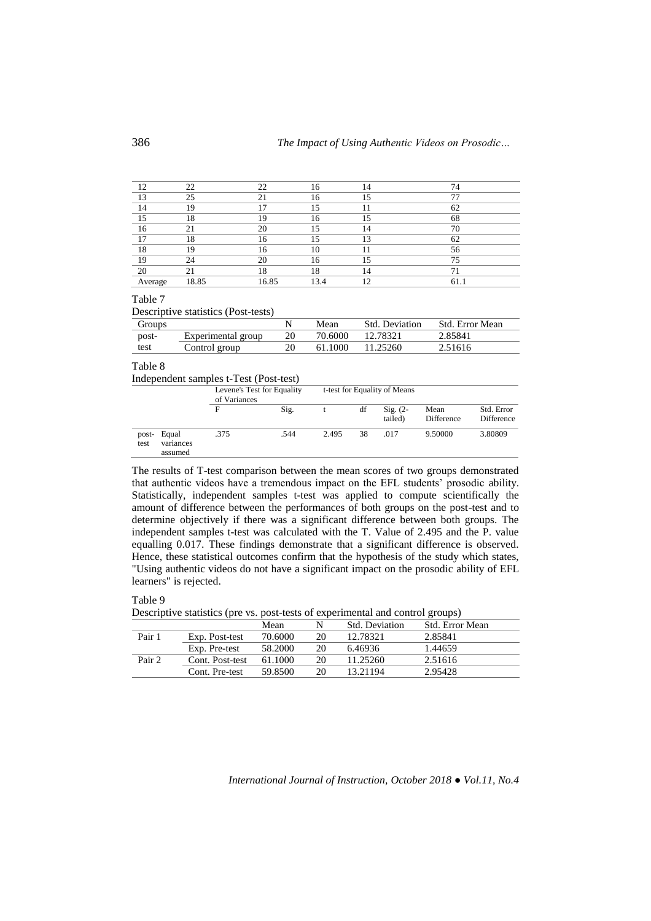|         | 22    | $\mathcal{D}$ | 16   | 14 |                          |
|---------|-------|---------------|------|----|--------------------------|
| 13      | 25    |               | 16   | 15 | $\overline{\phantom{a}}$ |
| 14      | 19    | - י           | 15   |    | 62                       |
|         | 18    | 19            | 16   | 15 | 68                       |
|         | 21    | 20            | 15   |    | 70                       |
|         | 18    | 16            | 15   | 13 | 62                       |
| 18      | 19    | 16            | 10   |    | 56                       |
| 19      | 24    | 20            | 16   |    |                          |
| 26      | 21    | 18            | 18   | 14 |                          |
| Average | 18.85 | 16.85         | 13.4 | 12 |                          |

#### Table 7

#### Descriptive statistics (Post-tests)

| Groups |                    |    | Mean    | Std. Deviation | Std. Error Mean |
|--------|--------------------|----|---------|----------------|-----------------|
| post-  | Experimental group | 20 | 70.6000 | 12.78321       | 2.85841         |
| test   | Control group      | 20 | 61.1000 | 11.25260       | 2.51616         |

### Table 8

# Independent samples t-Test (Post-test)

|               |                               |              | Levene's Test for Equality |       |    | t-test for Equality of Means   |                    |                          |
|---------------|-------------------------------|--------------|----------------------------|-------|----|--------------------------------|--------------------|--------------------------|
|               |                               | of Variances |                            |       |    |                                |                    |                          |
|               |                               | F            | Sig.                       |       | df | $\mathrm{Sig.}$ (2-<br>tailed) | Mean<br>Difference | Std. Error<br>Difference |
| post-<br>test | Equal<br>variances<br>assumed | .375         | .544                       | 2.495 | 38 | .017                           | 9.50000            | 3.80809                  |

The results of T-test comparison between the mean scores of two groups demonstrated that authentic videos have a tremendous impact on the EFL students' prosodic ability. Statistically, independent samples t-test was applied to compute scientifically the amount of difference between the performances of both groups on the post-test and to determine objectively if there was a significant difference between both groups. The independent samples t-test was calculated with the T. Value of 2.495 and the P. value equalling 0.017. These findings demonstrate that a significant difference is observed. Hence, these statistical outcomes confirm that the hypothesis of the study which states, "Using authentic videos do not have a significant impact on the prosodic ability of EFL learners" is rejected.

### Table 9

Descriptive statistics (pre vs. post-tests of experimental and control groups)

|        |                 | Mean    | N  | Std. Deviation | Std. Error Mean |
|--------|-----------------|---------|----|----------------|-----------------|
| Pair 1 | Exp. Post-test  | 70.6000 | 20 | 12.78321       | 2.85841         |
|        | Exp. Pre-test   | 58,2000 | 20 | 6.46936        | 1.44659         |
| Pair 2 | Cont. Post-test | 61.1000 | 20 | 11.25260       | 2.51616         |
|        | Cont. Pre-test  | 59.8500 | 20 | 13.21194       | 2.95428         |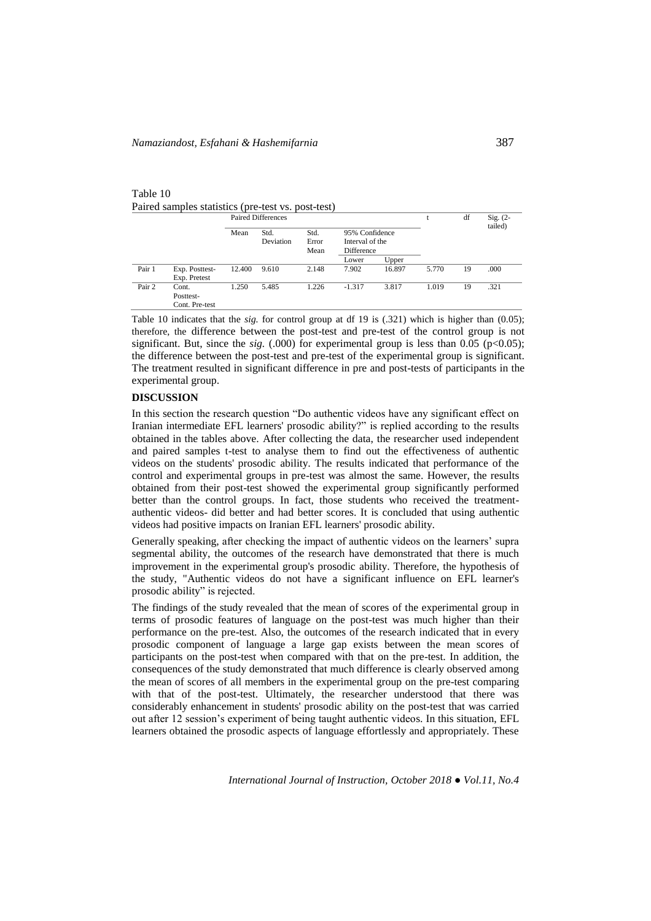| Table 10 |                                                    |
|----------|----------------------------------------------------|
|          | Paired samples statistics (pre-test vs. post-test) |

|        |                                      |        | <b>Paired Differences</b> |                       |                                                 |        |       | df | $Sig. (2-$<br>tailed) |
|--------|--------------------------------------|--------|---------------------------|-----------------------|-------------------------------------------------|--------|-------|----|-----------------------|
|        |                                      | Mean   | Std.<br>Deviation         | Std.<br>Error<br>Mean | 95% Confidence<br>Interval of the<br>Difference |        |       |    |                       |
|        |                                      |        |                           |                       | Lower                                           | Upper  |       |    |                       |
| Pair 1 | Exp. Posttest-<br>Exp. Pretest       | 12.400 | 9.610                     | 2.148                 | 7.902                                           | 16.897 | 5.770 | 19 | .000                  |
| Pair 2 | Cont.<br>Posttest-<br>Cont. Pre-test | 1.250  | 5.485                     | 1.226                 | $-1.317$                                        | 3.817  | 1.019 | 19 | .321                  |

Table 10 indicates that the *sig*, for control group at df 19 is (.321) which is higher than (0.05); therefore, the difference between the post-test and pre-test of the control group is not significant. But, since the *sig.*  $(.000)$  for experimental group is less than 0.05 ( $p<0.05$ ); the difference between the post-test and pre-test of the experimental group is significant. The treatment resulted in significant difference in pre and post-tests of participants in the experimental group.

### **DISCUSSION**

In this section the research question "Do authentic videos have any significant effect on Iranian intermediate EFL learners' prosodic ability?" is replied according to the results obtained in the tables above. After collecting the data, the researcher used independent and paired samples t-test to analyse them to find out the effectiveness of authentic videos on the students' prosodic ability. The results indicated that performance of the control and experimental groups in pre-test was almost the same. However, the results obtained from their post-test showed the experimental group significantly performed better than the control groups. In fact, those students who received the treatmentauthentic videos- did better and had better scores. It is concluded that using authentic videos had positive impacts on Iranian EFL learners' prosodic ability.

Generally speaking, after checking the impact of authentic videos on the learners' supra segmental ability, the outcomes of the research have demonstrated that there is much improvement in the experimental group's prosodic ability. Therefore, the hypothesis of the study, "Authentic videos do not have a significant influence on EFL learner's prosodic ability" is rejected.

The findings of the study revealed that the mean of scores of the experimental group in terms of prosodic features of language on the post-test was much higher than their performance on the pre-test. Also, the outcomes of the research indicated that in every prosodic component of language a large gap exists between the mean scores of participants on the post-test when compared with that on the pre-test. In addition, the consequences of the study demonstrated that much difference is clearly observed among the mean of scores of all members in the experimental group on the pre-test comparing with that of the post-test. Ultimately, the researcher understood that there was considerably enhancement in students' prosodic ability on the post-test that was carried out after 12 session's experiment of being taught authentic videos. In this situation, EFL learners obtained the prosodic aspects of language effortlessly and appropriately. These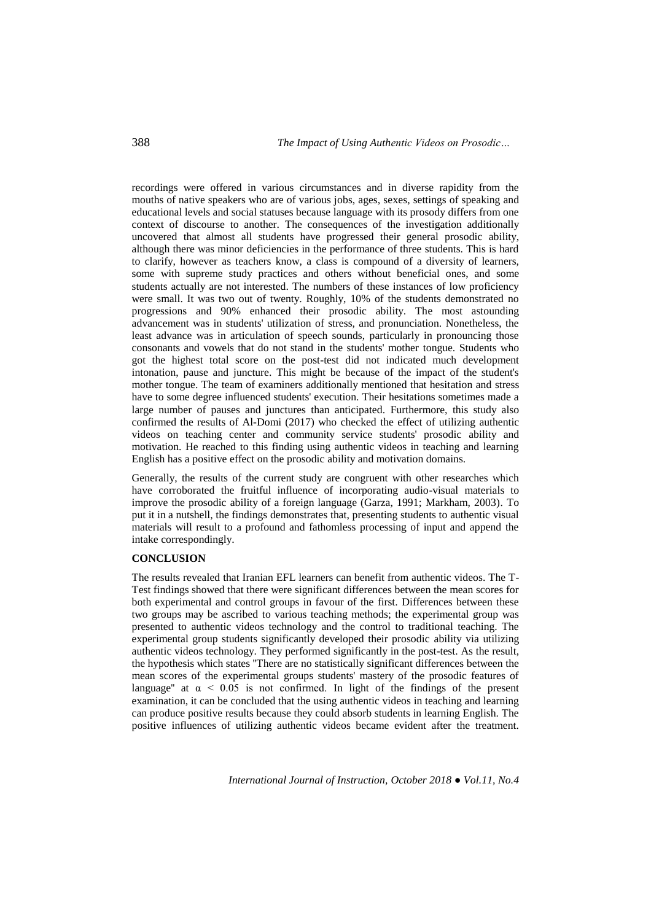recordings were offered in various circumstances and in diverse rapidity from the mouths of native speakers who are of various jobs, ages, sexes, settings of speaking and educational levels and social statuses because language with its prosody differs from one context of discourse to another. The consequences of the investigation additionally uncovered that almost all students have progressed their general prosodic ability, although there was minor deficiencies in the performance of three students. This is hard to clarify, however as teachers know, a class is compound of a diversity of learners, some with supreme study practices and others without beneficial ones, and some students actually are not interested. The numbers of these instances of low proficiency were small. It was two out of twenty. Roughly, 10% of the students demonstrated no progressions and 90% enhanced their prosodic ability. The most astounding advancement was in students' utilization of stress, and pronunciation. Nonetheless, the least advance was in articulation of speech sounds, particularly in pronouncing those consonants and vowels that do not stand in the students' mother tongue. Students who got the highest total score on the post-test did not indicated much development intonation, pause and juncture. This might be because of the impact of the student's mother tongue. The team of examiners additionally mentioned that hesitation and stress have to some degree influenced students' execution. Their hesitations sometimes made a large number of pauses and junctures than anticipated. Furthermore, this study also confirmed the results of Al-Domi (2017) who checked the effect of utilizing authentic videos on teaching center and community service students' prosodic ability and motivation. He reached to this finding using authentic videos in teaching and learning English has a positive effect on the prosodic ability and motivation domains.

Generally, the results of the current study are congruent with other researches which have corroborated the fruitful influence of incorporating audio-visual materials to improve the prosodic ability of a foreign language (Garza, 1991; Markham, 2003). To put it in a nutshell, the findings demonstrates that, presenting students to authentic visual materials will result to a profound and fathomless processing of input and append the intake correspondingly.

# **CONCLUSION**

The results revealed that Iranian EFL learners can benefit from authentic videos. The T-Test findings showed that there were significant differences between the mean scores for both experimental and control groups in favour of the first. Differences between these two groups may be ascribed to various teaching methods; the experimental group was presented to authentic videos technology and the control to traditional teaching. The experimental group students significantly developed their prosodic ability via utilizing authentic videos technology. They performed significantly in the post-test. As the result, the hypothesis which states ''There are no statistically significant differences between the mean scores of the experimental groups students' mastery of the prosodic features of language" at  $\alpha$  < 0.05 is not confirmed. In light of the findings of the present examination, it can be concluded that the using authentic videos in teaching and learning can produce positive results because they could absorb students in learning English. The positive influences of utilizing authentic videos became evident after the treatment.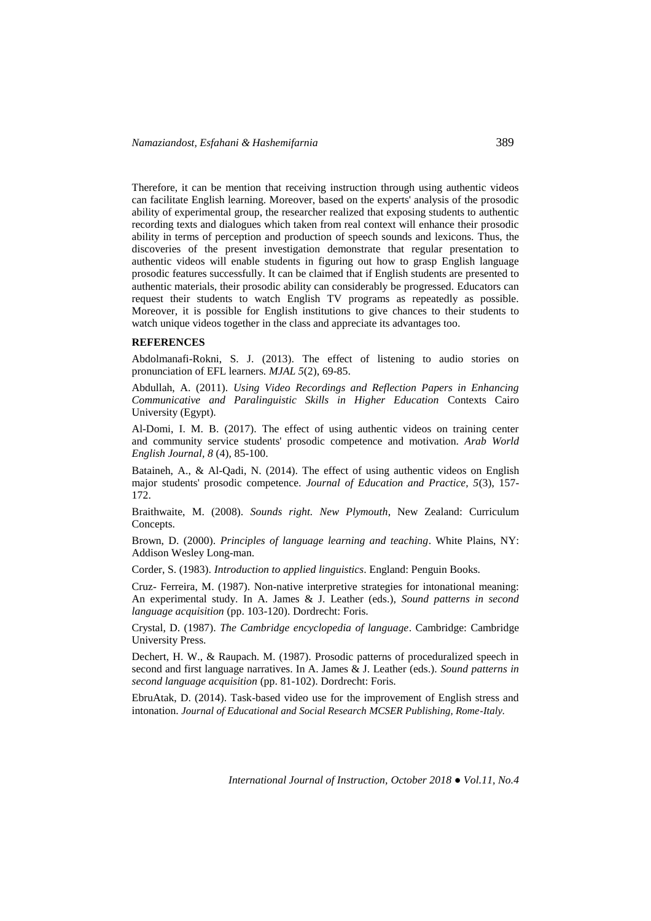Therefore, it can be mention that receiving instruction through using authentic videos can facilitate English learning. Moreover, based on the experts' analysis of the prosodic ability of experimental group, the researcher realized that exposing students to authentic recording texts and dialogues which taken from real context will enhance their prosodic ability in terms of perception and production of speech sounds and lexicons. Thus, the discoveries of the present investigation demonstrate that regular presentation to authentic videos will enable students in figuring out how to grasp English language prosodic features successfully. It can be claimed that if English students are presented to authentic materials, their prosodic ability can considerably be progressed. Educators can request their students to watch English TV programs as repeatedly as possible. Moreover, it is possible for English institutions to give chances to their students to watch unique videos together in the class and appreciate its advantages too.

#### **REFERENCES**

Abdolmanafi-Rokni, S. J. (2013). The effect of listening to audio stories on pronunciation of EFL learners. *MJAL 5*(2), 69-85.

Abdullah, A. (2011). *Using Video Recordings and Reflection Papers in Enhancing Communicative and Paralinguistic Skills in Higher Education* Contexts Cairo University (Egypt).

Al-Domi, I. M. B. (2017). The effect of using authentic videos on training center and community service students' prosodic competence and motivation. *Arab World English Journal, 8* (4), 85-100.

Bataineh, A., & Al-Qadi, N. (2014). The effect of using authentic videos on English major students' prosodic competence. *Journal of Education and Practice, 5*(3), 157- 172.

Braithwaite, M. (2008). *Sounds right. New Plymouth*, New Zealand: Curriculum Concepts.

Brown, D. (2000). *Principles of language learning and teaching*. White Plains, NY: Addison Wesley Long-man.

Corder, S. (1983). *Introduction to applied linguistics*. England: Penguin Books.

Cruz- Ferreira, M. (1987). Non-native interpretive strategies for intonational meaning: An experimental study. In A. James & J. Leather (eds.), *Sound patterns in second language acquisition* (pp. 103-120). Dordrecht: Foris.

Crystal, D. (1987). *The Cambridge encyclopedia of language*. Cambridge: Cambridge University Press.

Dechert, H. W., & Raupach. M. (1987). Prosodic patterns of proceduralized speech in second and first language narratives. In A. James & J. Leather (eds.). *Sound patterns in second language acquisition* (pp. 81-102). Dordrecht: Foris.

EbruAtak, D. (2014). Task-based video use for the improvement of English stress and intonation. *Journal of Educational and Social Research MCSER Publishing, Rome-Italy.*